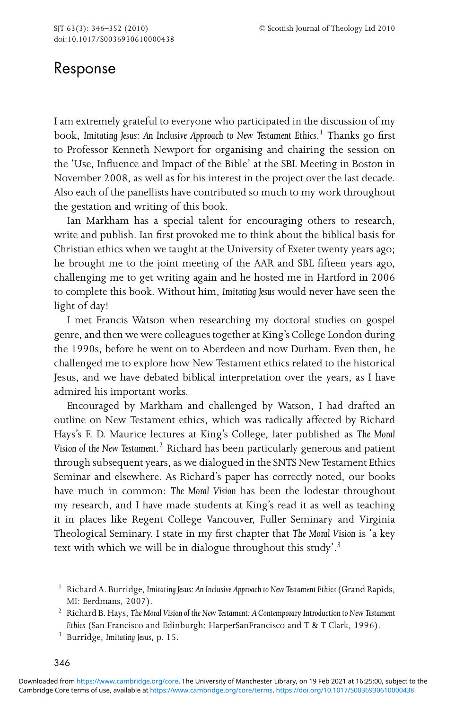## Response

I am extremely grateful to everyone who participated in the discussion of my book, *Imitating Jesus: An Inclusive Approach to New Testament Ethics*. <sup>1</sup> Thanks go first to Professor Kenneth Newport for organising and chairing the session on the 'Use, Influence and Impact of the Bible' at the SBL Meeting in Boston in November 2008, as well as for his interest in the project over the last decade. Also each of the panellists have contributed so much to my work throughout the gestation and writing of this book.

Ian Markham has a special talent for encouraging others to research, write and publish. Ian first provoked me to think about the biblical basis for Christian ethics when we taught at the University of Exeter twenty years ago; he brought me to the joint meeting of the AAR and SBL fifteen years ago, challenging me to get writing again and he hosted me in Hartford in 2006 to complete this book. Without him, *Imitating Jesus* would never have seen the light of day!

I met Francis Watson when researching my doctoral studies on gospel genre, and then we were colleagues together at King's College London during the 1990s, before he went on to Aberdeen and now Durham. Even then, he challenged me to explore how New Testament ethics related to the historical Jesus, and we have debated biblical interpretation over the years, as I have admired his important works.

Encouraged by Markham and challenged by Watson, I had drafted an outline on New Testament ethics, which was radically affected by Richard Hays's F. D. Maurice lectures at King's College, later published as *The Moral Vision of the New Testament*. <sup>2</sup> Richard has been particularly generous and patient through subsequent years, as we dialogued in the SNTS New Testament Ethics Seminar and elsewhere. As Richard's paper has correctly noted, our books have much in common: *The Moral Vision* has been the lodestar throughout my research, and I have made students at King's read it as well as teaching it in places like Regent College Vancouver, Fuller Seminary and Virginia Theological Seminary. I state in my first chapter that *The Moral Vision* is 'a key text with which we will be in dialogue throughout this study'.<sup>3</sup>

<sup>1</sup> Richard A. Burridge, Imitating Jesus: An Inclusive Approach to New Testament Ethics (Grand Rapids, MI: Eerdmans, 2007).

<sup>2</sup> Richard B. Hays, *The Moral Vision of the New Testament: A Contemporary Introduction to New Testament Ethics* (San Francisco and Edinburgh: HarperSanFrancisco and T & T Clark, 1996).

<sup>3</sup> Burridge, *Imitating Jesus*, p. 15.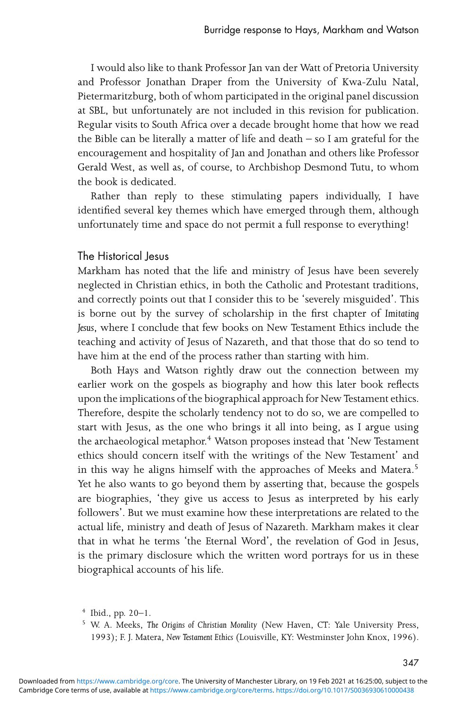I would also like to thank Professor Jan van der Watt of Pretoria University and Professor Jonathan Draper from the University of Kwa-Zulu Natal, Pietermaritzburg, both of whom participated in the original panel discussion at SBL, but unfortunately are not included in this revision for publication. Regular visits to South Africa over a decade brought home that how we read the Bible can be literally a matter of life and death  $-$  so I am grateful for the encouragement and hospitality of Jan and Jonathan and others like Professor Gerald West, as well as, of course, to Archbishop Desmond Tutu, to whom the book is dedicated.

Rather than reply to these stimulating papers individually, I have identified several key themes which have emerged through them, although unfortunately time and space do not permit a full response to everything!

## The Historical Jesus

Markham has noted that the life and ministry of Jesus have been severely neglected in Christian ethics, in both the Catholic and Protestant traditions, and correctly points out that I consider this to be 'severely misguided'. This is borne out by the survey of scholarship in the first chapter of *Imitating Jesus*, where I conclude that few books on New Testament Ethics include the teaching and activity of Jesus of Nazareth, and that those that do so tend to have him at the end of the process rather than starting with him.

Both Hays and Watson rightly draw out the connection between my earlier work on the gospels as biography and how this later book reflects upon the implications of the biographical approach for New Testament ethics. Therefore, despite the scholarly tendency not to do so, we are compelled to start with Jesus, as the one who brings it all into being, as I argue using the archaeological metaphor.<sup>4</sup> Watson proposes instead that 'New Testament ethics should concern itself with the writings of the New Testament' and in this way he aligns himself with the approaches of Meeks and Matera.<sup>5</sup> Yet he also wants to go beyond them by asserting that, because the gospels are biographies, 'they give us access to Jesus as interpreted by his early followers'. But we must examine how these interpretations are related to the actual life, ministry and death of Jesus of Nazareth. Markham makes it clear that in what he terms 'the Eternal Word', the revelation of God in Jesus, is the primary disclosure which the written word portrays for us in these biographical accounts of his life.

 $4$  Ibid., pp. 20-1.

<sup>5</sup> W. A. Meeks, *The Origins of Christian Morality* (New Haven, CT: Yale University Press, 1993); F. J. Matera, *New Testament Ethics* (Louisville, KY: Westminster John Knox, 1996).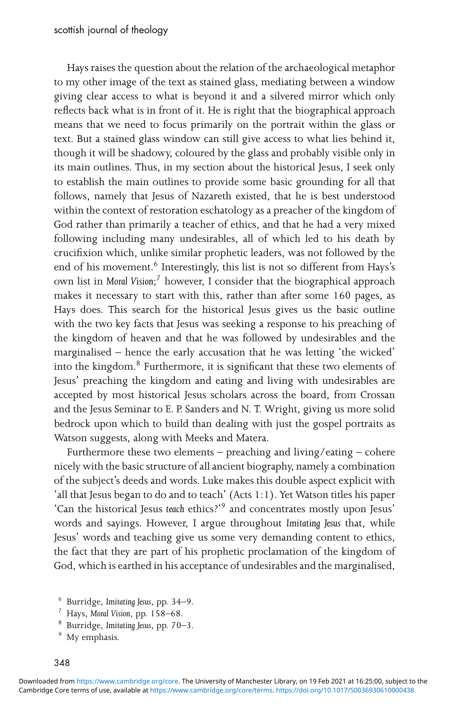Hays raises the question about the relation of the archaeological metaphor to my other image of the text as stained glass, mediating between a window giving clear access to what is beyond it and a silvered mirror which only reflects back what is in front of it. He is right that the biographical approach means that we need to focus primarily on the portrait within the glass or text. But a stained glass window can still give access to what lies behind it, though it will be shadowy, coloured by the glass and probably visible only in its main outlines. Thus, in my section about the historical Jesus, I seek only to establish the main outlines to provide some basic grounding for all that follows, namely that Jesus of Nazareth existed, that he is best understood within the context of restoration eschatology as a preacher of the kingdom of God rather than primarily a teacher of ethics, and that he had a very mixed following including many undesirables, all of which led to his death by crucifixion which, unlike similar prophetic leaders, was not followed by the end of his movement.<sup>6</sup> Interestingly, this list is not so different from Hays's own list in *Moral Vision*; <sup>7</sup> however, I consider that the biographical approach makes it necessary to start with this, rather than after some 160 pages, as Hays does. This search for the historical Jesus gives us the basic outline with the two key facts that Jesus was seeking a response to his preaching of the kingdom of heaven and that he was followed by undesirables and the marginalised – hence the early accusation that he was letting 'the wicked' into the kingdom.<sup>8</sup> Furthermore, it is significant that these two elements of Jesus' preaching the kingdom and eating and living with undesirables are accepted by most historical Jesus scholars across the board, from Crossan and the Jesus Seminar to E. P. Sanders and N. T. Wright, giving us more solid bedrock upon which to build than dealing with just the gospel portraits as Watson suggests, along with Meeks and Matera.

Furthermore these two elements – preaching and living/eating – cohere nicely with the basic structure of all ancient biography, namely a combination of the subject's deeds and words. Luke makes this double aspect explicit with 'all that Jesus began to do and to teach' (Acts 1:1). Yet Watson titles his paper 'Can the historical Jesus *teach* ethics?'<sup>9</sup> and concentrates mostly upon Jesus' words and sayings. However, I argue throughout *Imitating Jesus* that, while Jesus' words and teaching give us some very demanding content to ethics, the fact that they are part of his prophetic proclamation of the kingdom of God, which is earthed in his acceptance of undesirables and the marginalised,

- <sup>8</sup> Burridge, *Imitating Jesus*, pp. 70–3.
- <sup>9</sup> My emphasis.

<sup>6</sup> Burridge, *Imitating Jesus*, pp. 34–9.

<sup>7</sup> Hays, *Moral Vision*, pp. 158–68.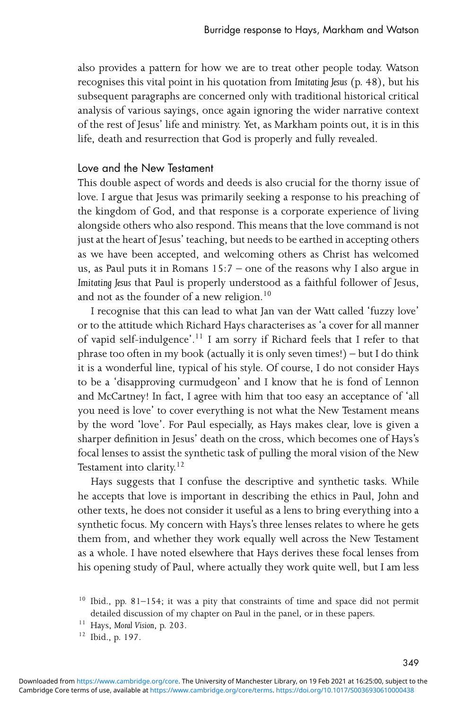also provides a pattern for how we are to treat other people today. Watson recognises this vital point in his quotation from *Imitating Jesus* (p. 48), but his subsequent paragraphs are concerned only with traditional historical critical analysis of various sayings, once again ignoring the wider narrative context of the rest of Jesus' life and ministry. Yet, as Markham points out, it is in this life, death and resurrection that God is properly and fully revealed.

## Love and the New Testament

This double aspect of words and deeds is also crucial for the thorny issue of love. I argue that Jesus was primarily seeking a response to his preaching of the kingdom of God, and that response is a corporate experience of living alongside others who also respond. This means that the love command is not just at the heart of Jesus' teaching, but needs to be earthed in accepting others as we have been accepted, and welcoming others as Christ has welcomed us, as Paul puts it in Romans 15:7 – one of the reasons why I also argue in *Imitating Jesus* that Paul is properly understood as a faithful follower of Jesus, and not as the founder of a new religion.<sup>10</sup>

I recognise that this can lead to what Jan van der Watt called 'fuzzy love' or to the attitude which Richard Hays characterises as 'a cover for all manner of vapid self-indulgence'.<sup>11</sup> I am sorry if Richard feels that I refer to that phrase too often in my book (actually it is only seven times!) – but I do think it is a wonderful line, typical of his style. Of course, I do not consider Hays to be a 'disapproving curmudgeon' and I know that he is fond of Lennon and McCartney! In fact, I agree with him that too easy an acceptance of 'all you need is love' to cover everything is not what the New Testament means by the word 'love'. For Paul especially, as Hays makes clear, love is given a sharper definition in Jesus' death on the cross, which becomes one of Hays's focal lenses to assist the synthetic task of pulling the moral vision of the New Testament into clarity. $12$ 

Hays suggests that I confuse the descriptive and synthetic tasks. While he accepts that love is important in describing the ethics in Paul, John and other texts, he does not consider it useful as a lens to bring everything into a synthetic focus. My concern with Hays's three lenses relates to where he gets them from, and whether they work equally well across the New Testament as a whole. I have noted elsewhere that Hays derives these focal lenses from his opening study of Paul, where actually they work quite well, but I am less

<sup>&</sup>lt;sup>10</sup> Ibid., pp. 81-154; it was a pity that constraints of time and space did not permit detailed discussion of my chapter on Paul in the panel, or in these papers.

<sup>11</sup> Hays, *Moral Vision*, p. 203.

<sup>12</sup> Ibid., p. 197.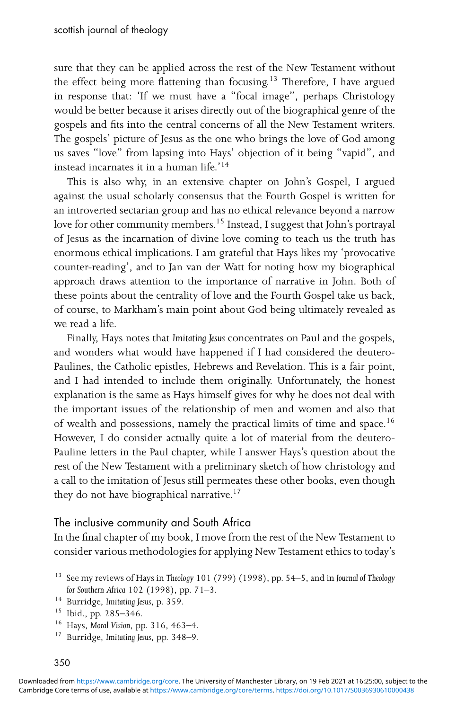sure that they can be applied across the rest of the New Testament without the effect being more flattening than focusing.<sup>13</sup> Therefore, I have argued in response that: 'If we must have a "focal image", perhaps Christology would be better because it arises directly out of the biographical genre of the gospels and fits into the central concerns of all the New Testament writers. The gospels' picture of Jesus as the one who brings the love of God among us saves "love" from lapsing into Hays' objection of it being "vapid", and instead incarnates it in a human life.'14

This is also why, in an extensive chapter on John's Gospel, I argued against the usual scholarly consensus that the Fourth Gospel is written for an introverted sectarian group and has no ethical relevance beyond a narrow love for other community members.<sup>15</sup> Instead, I suggest that John's portrayal of Jesus as the incarnation of divine love coming to teach us the truth has enormous ethical implications. I am grateful that Hays likes my 'provocative counter-reading', and to Jan van der Watt for noting how my biographical approach draws attention to the importance of narrative in John. Both of these points about the centrality of love and the Fourth Gospel take us back, of course, to Markham's main point about God being ultimately revealed as we read a life.

Finally, Hays notes that *Imitating Jesus* concentrates on Paul and the gospels, and wonders what would have happened if I had considered the deutero-Paulines, the Catholic epistles, Hebrews and Revelation. This is a fair point, and I had intended to include them originally. Unfortunately, the honest explanation is the same as Hays himself gives for why he does not deal with the important issues of the relationship of men and women and also that of wealth and possessions, namely the practical limits of time and space.<sup>16</sup> However, I do consider actually quite a lot of material from the deutero-Pauline letters in the Paul chapter, while I answer Hays's question about the rest of the New Testament with a preliminary sketch of how christology and a call to the imitation of Jesus still permeates these other books, even though they do not have biographical narrative.<sup>17</sup>

## The inclusive community and South Africa

In the final chapter of my book, I move from the rest of the New Testament to consider various methodologies for applying New Testament ethics to today's

<sup>17</sup> Burridge, *Imitating Jesus*, pp. 348–9.

<sup>13</sup> See my reviews of Hays in *Theology* 101 (799) (1998), pp. 54–5, and in *Journal of Theology for Southern Africa* 102 (1998), pp. 71–3.

<sup>14</sup> Burridge, *Imitating Jesus*, p. 359.

 $15$  Ibid., pp. 285–346.

<sup>16</sup> Hays, *Moral Vision*, pp. 316, 463–4.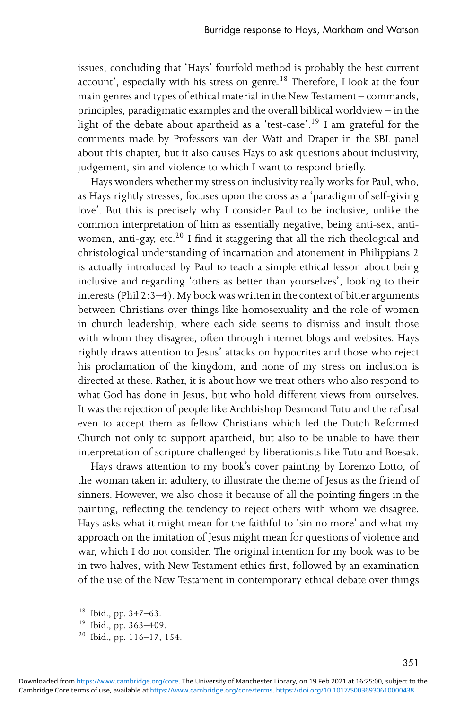issues, concluding that 'Hays' fourfold method is probably the best current account', especially with his stress on genre.<sup>18</sup> Therefore, I look at the four main genres and types of ethical material in the New Testament – commands, principles, paradigmatic examples and the overall biblical worldview – in the light of the debate about apartheid as a 'test-case'.19 I am grateful for the comments made by Professors van der Watt and Draper in the SBL panel about this chapter, but it also causes Hays to ask questions about inclusivity, judgement, sin and violence to which I want to respond briefly.

Hays wonders whether my stress on inclusivity really works for Paul, who, as Hays rightly stresses, focuses upon the cross as a 'paradigm of self-giving love'. But this is precisely why I consider Paul to be inclusive, unlike the common interpretation of him as essentially negative, being anti-sex, antiwomen, anti-gay, etc.<sup>20</sup> I find it staggering that all the rich theological and christological understanding of incarnation and atonement in Philippians 2 is actually introduced by Paul to teach a simple ethical lesson about being inclusive and regarding 'others as better than yourselves', looking to their interests (Phil 2:3–4). My book was written in the context of bitter arguments between Christians over things like homosexuality and the role of women in church leadership, where each side seems to dismiss and insult those with whom they disagree, often through internet blogs and websites. Hays rightly draws attention to Jesus' attacks on hypocrites and those who reject his proclamation of the kingdom, and none of my stress on inclusion is directed at these. Rather, it is about how we treat others who also respond to what God has done in Jesus, but who hold different views from ourselves. It was the rejection of people like Archbishop Desmond Tutu and the refusal even to accept them as fellow Christians which led the Dutch Reformed Church not only to support apartheid, but also to be unable to have their interpretation of scripture challenged by liberationists like Tutu and Boesak.

Hays draws attention to my book's cover painting by Lorenzo Lotto, of the woman taken in adultery, to illustrate the theme of Jesus as the friend of sinners. However, we also chose it because of all the pointing fingers in the painting, reflecting the tendency to reject others with whom we disagree. Hays asks what it might mean for the faithful to 'sin no more' and what my approach on the imitation of Jesus might mean for questions of violence and war, which I do not consider. The original intention for my book was to be in two halves, with New Testament ethics first, followed by an examination of the use of the New Testament in contemporary ethical debate over things

<sup>18</sup> Ibid., pp. 347–63.

<sup>19</sup> Ibid., pp. 363–409.

 $20$  Ibid., pp. 116–17, 154.